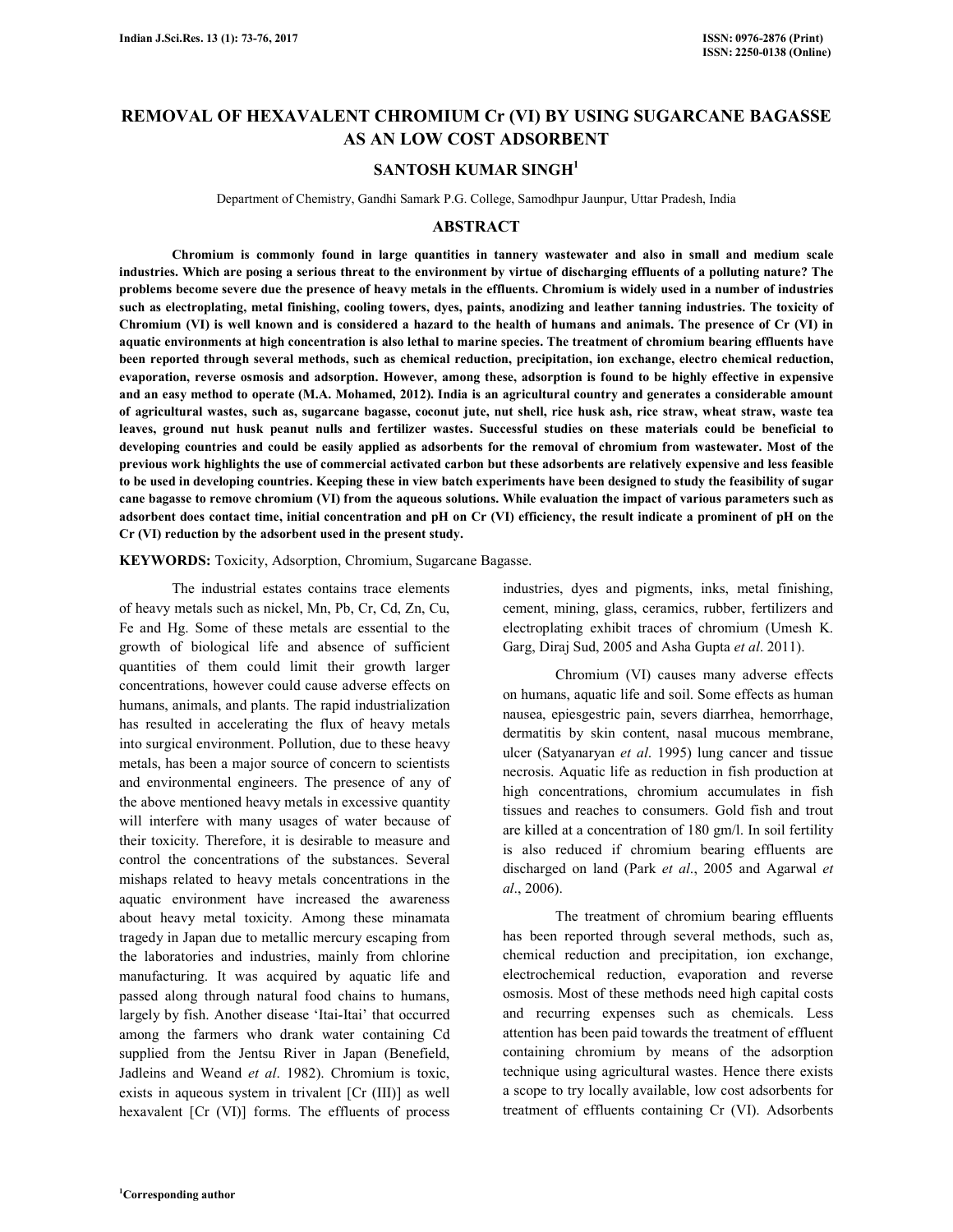# **REMOVAL OF HEXAVALENT CHROMIUM Cr (VI) BY USING SUGARCANE BAGASSE AS AN LOW COST ADSORBENT**

# **SANTOSH KUMAR SINGH<sup>1</sup>**

Department of Chemistry, Gandhi Samark P.G. College, Samodhpur Jaunpur, Uttar Pradesh, India

### **ABSTRACT**

 **Chromium is commonly found in large quantities in tannery wastewater and also in small and medium scale industries. Which are posing a serious threat to the environment by virtue of discharging effluents of a polluting nature? The problems become severe due the presence of heavy metals in the effluents. Chromium is widely used in a number of industries such as electroplating, metal finishing, cooling towers, dyes, paints, anodizing and leather tanning industries. The toxicity of Chromium (VI) is well known and is considered a hazard to the health of humans and animals. The presence of Cr (VI) in aquatic environments at high concentration is also lethal to marine species. The treatment of chromium bearing effluents have been reported through several methods, such as chemical reduction, precipitation, ion exchange, electro chemical reduction, evaporation, reverse osmosis and adsorption. However, among these, adsorption is found to be highly effective in expensive and an easy method to operate (M.A. Mohamed, 2012). India is an agricultural country and generates a considerable amount of agricultural wastes, such as, sugarcane bagasse, coconut jute, nut shell, rice husk ash, rice straw, wheat straw, waste tea leaves, ground nut husk peanut nulls and fertilizer wastes. Successful studies on these materials could be beneficial to developing countries and could be easily applied as adsorbents for the removal of chromium from wastewater. Most of the previous work highlights the use of commercial activated carbon but these adsorbents are relatively expensive and less feasible to be used in developing countries. Keeping these in view batch experiments have been designed to study the feasibility of sugar cane bagasse to remove chromium (VI) from the aqueous solutions. While evaluation the impact of various parameters such as adsorbent does contact time, initial concentration and pH on Cr (VI) efficiency, the result indicate a prominent of pH on the Cr (VI) reduction by the adsorbent used in the present study.** 

#### **KEYWORDS:** Toxicity, Adsorption, Chromium, Sugarcane Bagasse.

 The industrial estates contains trace elements of heavy metals such as nickel, Mn, Pb, Cr, Cd, Zn, Cu, Fe and Hg. Some of these metals are essential to the growth of biological life and absence of sufficient quantities of them could limit their growth larger concentrations, however could cause adverse effects on humans, animals, and plants. The rapid industrialization has resulted in accelerating the flux of heavy metals into surgical environment. Pollution, due to these heavy metals, has been a major source of concern to scientists and environmental engineers. The presence of any of the above mentioned heavy metals in excessive quantity will interfere with many usages of water because of their toxicity. Therefore, it is desirable to measure and control the concentrations of the substances. Several mishaps related to heavy metals concentrations in the aquatic environment have increased the awareness about heavy metal toxicity. Among these minamata tragedy in Japan due to metallic mercury escaping from the laboratories and industries, mainly from chlorine manufacturing. It was acquired by aquatic life and passed along through natural food chains to humans, largely by fish. Another disease 'Itai-Itai' that occurred among the farmers who drank water containing Cd supplied from the Jentsu River in Japan (Benefield, Jadleins and Weand *et al*. 1982). Chromium is toxic, exists in aqueous system in trivalent [Cr (III)] as well hexavalent [Cr (VI)] forms. The effluents of process

industries, dyes and pigments, inks, metal finishing, cement, mining, glass, ceramics, rubber, fertilizers and electroplating exhibit traces of chromium (Umesh K. Garg, Diraj Sud, 2005 and Asha Gupta *et al*. 2011).

 Chromium (VI) causes many adverse effects on humans, aquatic life and soil. Some effects as human nausea, epiesgestric pain, severs diarrhea, hemorrhage, dermatitis by skin content, nasal mucous membrane, ulcer (Satyanaryan *et al*. 1995) lung cancer and tissue necrosis. Aquatic life as reduction in fish production at high concentrations, chromium accumulates in fish tissues and reaches to consumers. Gold fish and trout are killed at a concentration of 180 gm/l. In soil fertility is also reduced if chromium bearing effluents are discharged on land (Park *et al*., 2005 and Agarwal *et al*., 2006).

 The treatment of chromium bearing effluents has been reported through several methods, such as, chemical reduction and precipitation, ion exchange, electrochemical reduction, evaporation and reverse osmosis. Most of these methods need high capital costs and recurring expenses such as chemicals. Less attention has been paid towards the treatment of effluent containing chromium by means of the adsorption technique using agricultural wastes. Hence there exists a scope to try locally available, low cost adsorbents for treatment of effluents containing Cr (VI). Adsorbents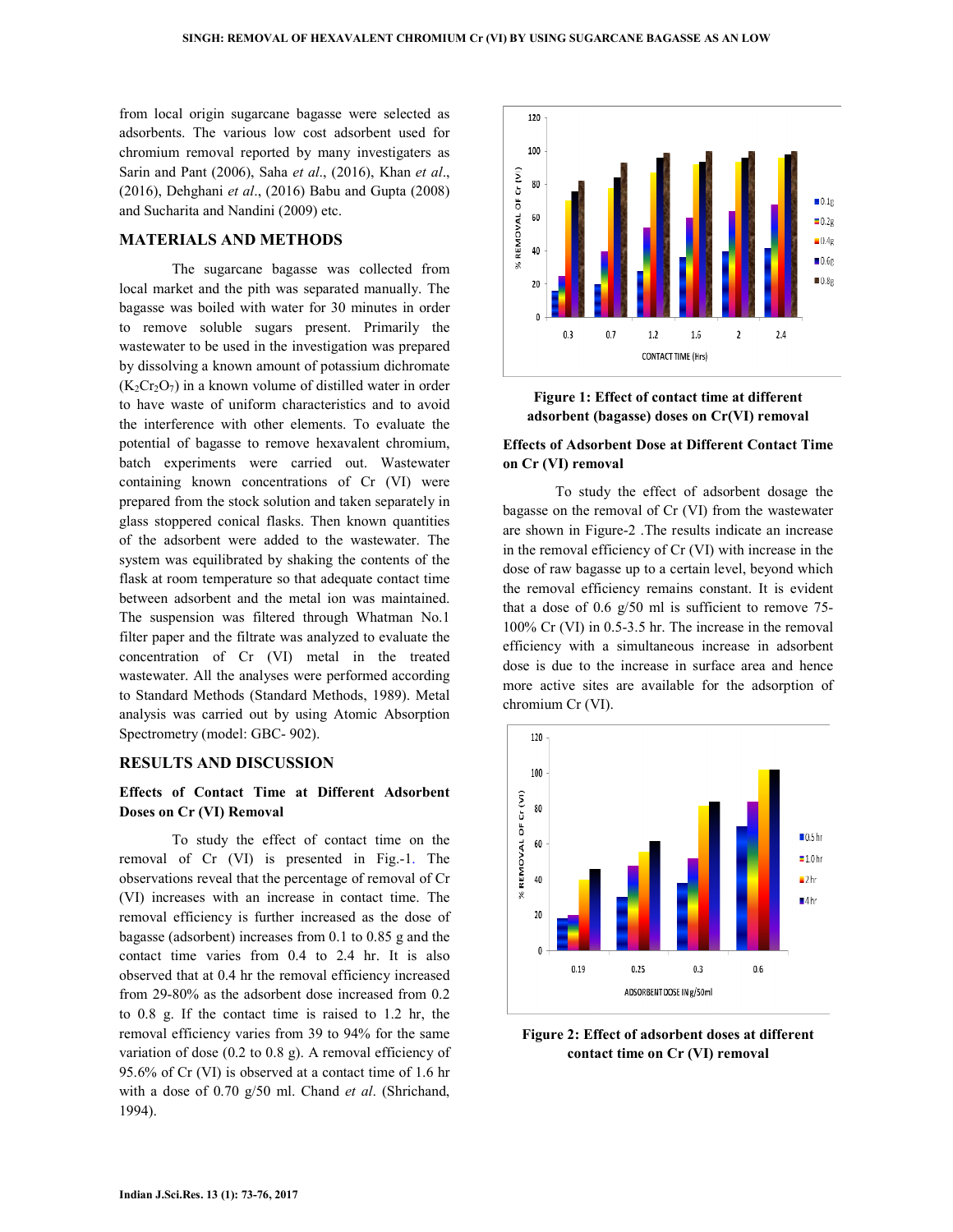from local origin sugarcane bagasse were selected as adsorbents. The various low cost adsorbent used for chromium removal reported by many investigaters as Sarin and Pant (2006), Saha *et al*., (2016), Khan *et al*., (2016), Dehghani *et al*., (2016) Babu and Gupta (2008) and Sucharita and Nandini (2009) etc.

## **MATERIALS AND METHODS**

 The sugarcane bagasse was collected from local market and the pith was separated manually. The bagasse was boiled with water for 30 minutes in order to remove soluble sugars present. Primarily the wastewater to be used in the investigation was prepared by dissolving a known amount of potassium dichromate  $(K_2Cr_2O_7)$  in a known volume of distilled water in order to have waste of uniform characteristics and to avoid the interference with other elements. To evaluate the potential of bagasse to remove hexavalent chromium, batch experiments were carried out. Wastewater containing known concentrations of Cr (VI) were prepared from the stock solution and taken separately in glass stoppered conical flasks. Then known quantities of the adsorbent were added to the wastewater. The system was equilibrated by shaking the contents of the flask at room temperature so that adequate contact time between adsorbent and the metal ion was maintained. The suspension was filtered through Whatman No.1 filter paper and the filtrate was analyzed to evaluate the concentration of Cr (VI) metal in the treated wastewater. All the analyses were performed according to Standard Methods (Standard Methods, 1989). Metal analysis was carried out by using Atomic Absorption Spectrometry (model: GBC- 902).

### **RESULTS AND DISCUSSION**

## **Effects of Contact Time at Different Adsorbent Doses on Cr (VI) Removal**

 To study the effect of contact time on the removal of Cr (VI) is presented in Fig.-1. The observations reveal that the percentage of removal of Cr (VI) increases with an increase in contact time. The removal efficiency is further increased as the dose of bagasse (adsorbent) increases from 0.1 to 0.85 g and the contact time varies from 0.4 to 2.4 hr. It is also observed that at 0.4 hr the removal efficiency increased from 29-80% as the adsorbent dose increased from 0.2 to 0.8 g. If the contact time is raised to 1.2 hr, the removal efficiency varies from 39 to 94% for the same variation of dose (0.2 to 0.8 g). A removal efficiency of 95.6% of Cr (VI) is observed at a contact time of 1.6 hr with a dose of 0.70 g/50 ml. Chand *et al*. (Shrichand, 1994).



**Figure 1: Effect of contact time at different adsorbent (bagasse) doses on Cr(VI) removal** 

# **Effects of Adsorbent Dose at Different Contact Time on Cr (VI) removal**

 To study the effect of adsorbent dosage the bagasse on the removal of Cr (VI) from the wastewater are shown in Figure-2 .The results indicate an increase in the removal efficiency of Cr (VI) with increase in the dose of raw bagasse up to a certain level, beyond which the removal efficiency remains constant. It is evident that a dose of 0.6 g/50 ml is sufficient to remove 75- 100% Cr (VI) in 0.5-3.5 hr. The increase in the removal efficiency with a simultaneous increase in adsorbent dose is due to the increase in surface area and hence more active sites are available for the adsorption of chromium Cr (VI).



**Figure 2: Effect of adsorbent doses at different contact time on Cr (VI) removal**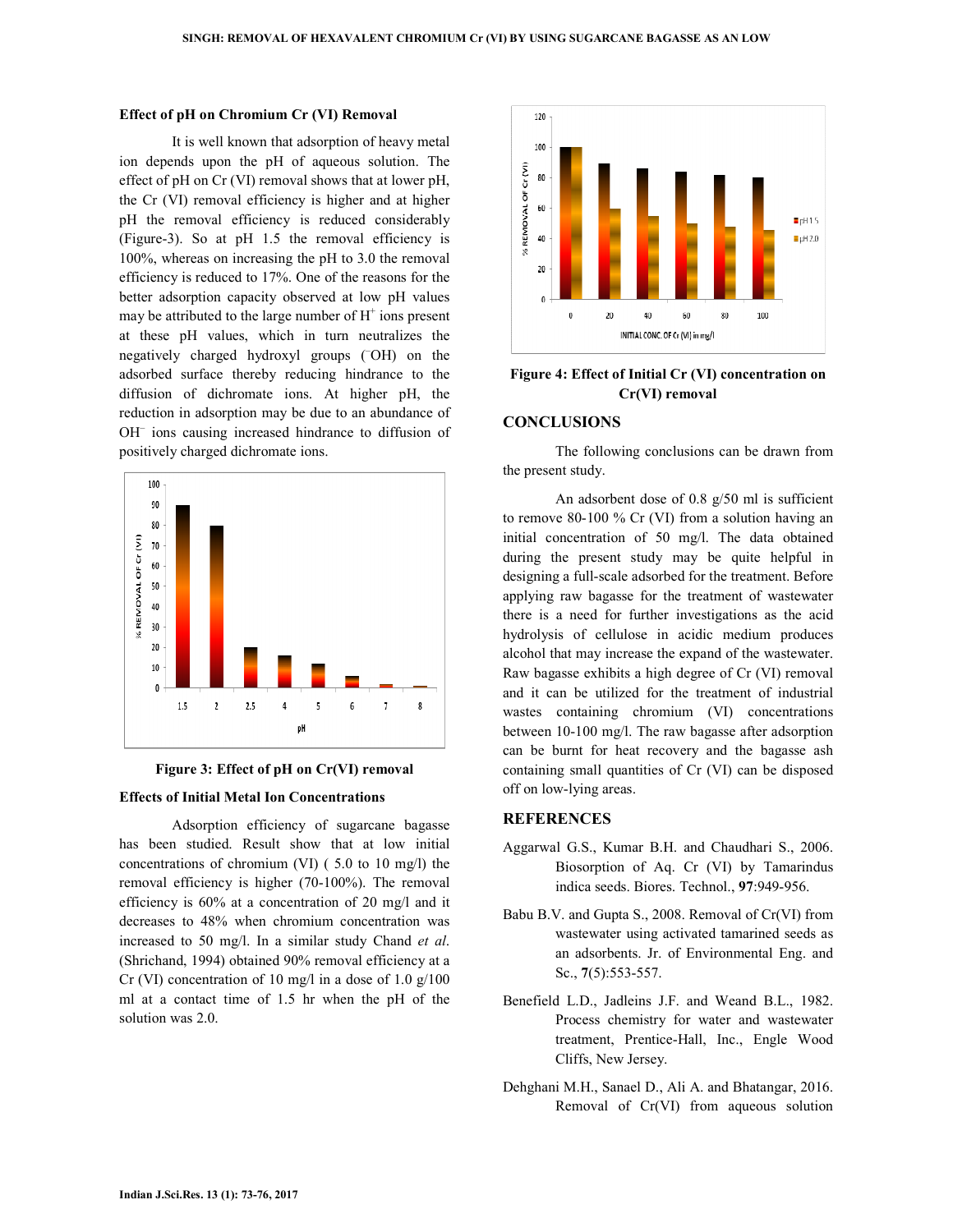#### **Effect of pH on Chromium Cr (VI) Removal**

 It is well known that adsorption of heavy metal ion depends upon the pH of aqueous solution. The effect of pH on Cr (VI) removal shows that at lower pH, the Cr (VI) removal efficiency is higher and at higher pH the removal efficiency is reduced considerably (Figure-3). So at pH 1.5 the removal efficiency is 100%, whereas on increasing the pH to 3.0 the removal efficiency is reduced to 17%. One of the reasons for the better adsorption capacity observed at low pH values may be attributed to the large number of  $H^+$  ions present at these pH values, which in turn neutralizes the negatively charged hydroxyl groups ( $\overline{O}$ H) on the adsorbed surface thereby reducing hindrance to the diffusion of dichromate ions. At higher pH, the reduction in adsorption may be due to an abundance of OH– ions causing increased hindrance to diffusion of positively charged dichromate ions.





#### **Effects of Initial Metal Ion Concentrations**

 Adsorption efficiency of sugarcane bagasse has been studied. Result show that at low initial concentrations of chromium (VI) ( 5.0 to 10 mg/l) the removal efficiency is higher (70-100%). The removal efficiency is 60% at a concentration of 20 mg/l and it decreases to 48% when chromium concentration was increased to 50 mg/l. In a similar study Chand *et al*. (Shrichand, 1994) obtained 90% removal efficiency at a Cr (VI) concentration of 10 mg/l in a dose of 1.0 g/100 ml at a contact time of 1.5 hr when the pH of the solution was 2.0.



**Figure 4: Effect of Initial Cr (VI) concentration on Cr(VI) removal** 

#### **CONCLUSIONS**

 The following conclusions can be drawn from the present study.

 An adsorbent dose of 0.8 g/50 ml is sufficient to remove 80-100 % Cr (VI) from a solution having an initial concentration of 50 mg/l. The data obtained during the present study may be quite helpful in designing a full-scale adsorbed for the treatment. Before applying raw bagasse for the treatment of wastewater there is a need for further investigations as the acid hydrolysis of cellulose in acidic medium produces alcohol that may increase the expand of the wastewater. Raw bagasse exhibits a high degree of Cr (VI) removal and it can be utilized for the treatment of industrial wastes containing chromium (VI) concentrations between 10-100 mg/l. The raw bagasse after adsorption can be burnt for heat recovery and the bagasse ash containing small quantities of Cr (VI) can be disposed off on low-lying areas.

### **REFERENCES**

- Aggarwal G.S., Kumar B.H. and Chaudhari S., 2006. Biosorption of Aq. Cr (VI) by Tamarindus indica seeds. Biores. Technol., **97**:949-956.
- Babu B.V. and Gupta S., 2008. Removal of Cr(VI) from wastewater using activated tamarined seeds as an adsorbents. Jr. of Environmental Eng. and Sc., **7**(5):553-557.
- Benefield L.D., Jadleins J.F. and Weand B.L., 1982. Process chemistry for water and wastewater treatment, Prentice-Hall, Inc., Engle Wood Cliffs, New Jersey.
- Dehghani M.H., Sanael D., Ali A. and Bhatangar, 2016. Removal of Cr(VI) from aqueous solution